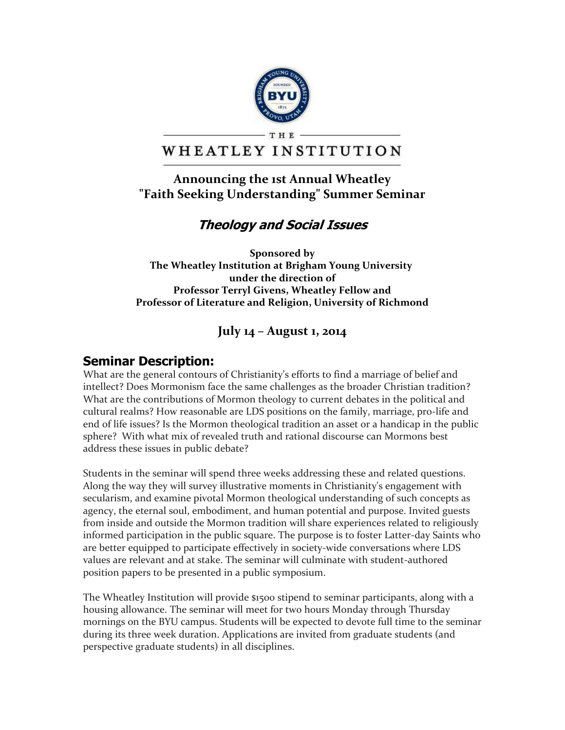

#### **THE** WHEATLEY INSTITUTION

### **Announcing the 1st Annual Wheatley "Faith Seeking Understanding" Summer Seminar**

## **Theology and Social Issues**

**Sponsored by The Wheatley Institution at Brigham Young University under the direction of Professor Terryl Givens, Wheatley Fellow and Professor of Literature and Religion, University of Richmond**

#### **July 14 – August 1, 2014**

#### **Seminar Description:**

What are the general contours of Christianity's efforts to find a marriage of belief and intellect? Does Mormonism face the same challenges as the broader Christian tradition? What are the contributions of Mormon theology to current debates in the political and cultural realms? How reasonable are LDS positions on the family, marriage, pro-life and end of life issues? Is the Mormon theological tradition an asset or a handicap in the public sphere? With what mix of revealed truth and rational discourse can Mormons best address these issues in public debate?

Students in the seminar will spend three weeks addressing these and related questions. Along the way they will survey illustrative moments in Christianity's engagement with secularism, and examine pivotal Mormon theological understanding of such concepts as agency, the eternal soul, embodiment, and human potential and purpose. Invited guests from inside and outside the Mormon tradition will share experiences related to religiously informed participation in the public square. The purpose is to foster Latter-day Saints who are better equipped to participate effectively in society-wide conversations where LDS values are relevant and at stake. The seminar will culminate with student-authored position papers to be presented in a public symposium.

The Wheatley Institution will provide \$1500 stipend to seminar participants, along with a housing allowance. The seminar will meet for two hours Monday through Thursday mornings on the BYU campus. Students will be expected to devote full time to the seminar during its three week duration. Applications are invited from graduate students (and perspective graduate students) in all disciplines.